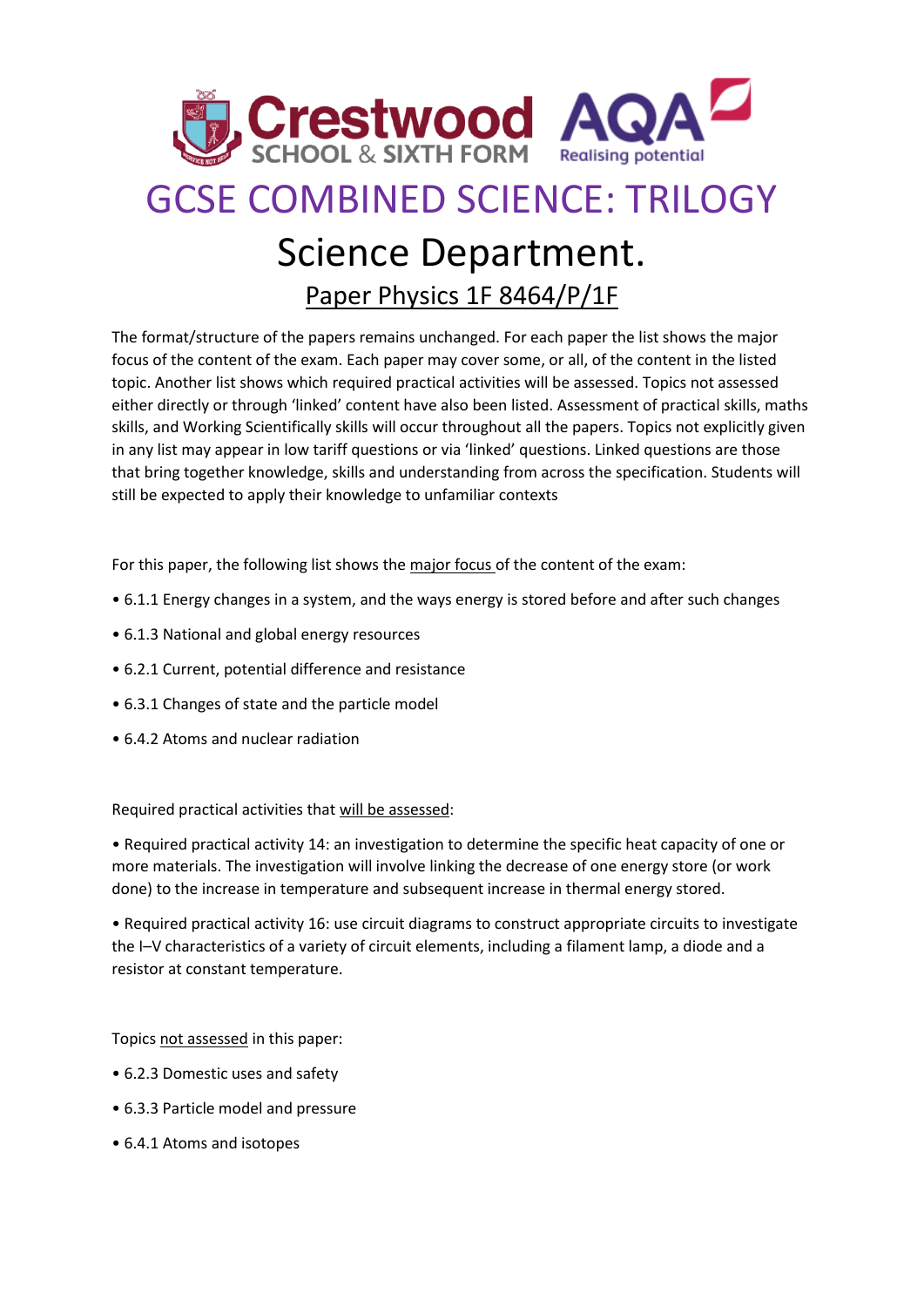

## GCSE COMBINED SCIENCE: TRILOGY

## Science Department.

Paper Physics 1F 8464/P/1F

The format/structure of the papers remains unchanged. For each paper the list shows the major focus of the content of the exam. Each paper may cover some, or all, of the content in the listed topic. Another list shows which required practical activities will be assessed. Topics not assessed either directly or through 'linked' content have also been listed. Assessment of practical skills, maths skills, and Working Scientifically skills will occur throughout all the papers. Topics not explicitly given in any list may appear in low tariff questions or via 'linked' questions. Linked questions are those that bring together knowledge, skills and understanding from across the specification. Students will still be expected to apply their knowledge to unfamiliar contexts

For this paper, the following list shows the major focus of the content of the exam:

- 6.1.1 Energy changes in a system, and the ways energy is stored before and after such changes
- 6.1.3 National and global energy resources
- 6.2.1 Current, potential difference and resistance
- 6.3.1 Changes of state and the particle model
- 6.4.2 Atoms and nuclear radiation

Required practical activities that will be assessed:

• Required practical activity 14: an investigation to determine the specific heat capacity of one or more materials. The investigation will involve linking the decrease of one energy store (or work done) to the increase in temperature and subsequent increase in thermal energy stored.

• Required practical activity 16: use circuit diagrams to construct appropriate circuits to investigate the I–V characteristics of a variety of circuit elements, including a filament lamp, a diode and a resistor at constant temperature.

Topics not assessed in this paper:

- 6.2.3 Domestic uses and safety
- 6.3.3 Particle model and pressure
- 6.4.1 Atoms and isotopes